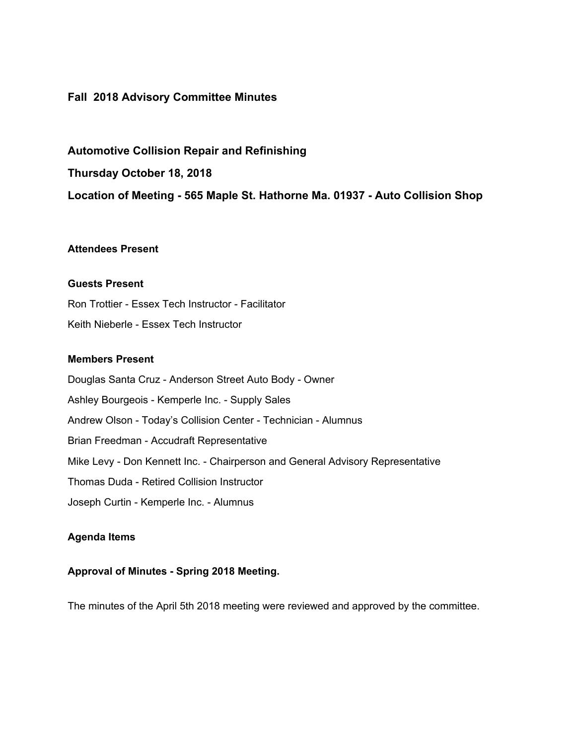# **Fall 2018 Advisory Committee Minutes**

**Automotive Collision Repair and Refinishing Thursday October 18, 2018 Location of Meeting - 565 Maple St. Hathorne Ma. 01937 - Auto Collision Shop**

# **Attendees Present**

### **Guests Present**

Ron Trottier - Essex Tech Instructor - Facilitator Keith Nieberle - Essex Tech Instructor

# **Members Present**

Douglas Santa Cruz - Anderson Street Auto Body - Owner Ashley Bourgeois - Kemperle Inc. - Supply Sales Andrew Olson - Today's Collision Center - Technician - Alumnus Brian Freedman - Accudraft Representative Mike Levy - Don Kennett Inc. - Chairperson and General Advisory Representative Thomas Duda - Retired Collision Instructor Joseph Curtin - Kemperle Inc. - Alumnus

### **Agenda Items**

### **Approval of Minutes - Spring 2018 Meeting.**

The minutes of the April 5th 2018 meeting were reviewed and approved by the committee.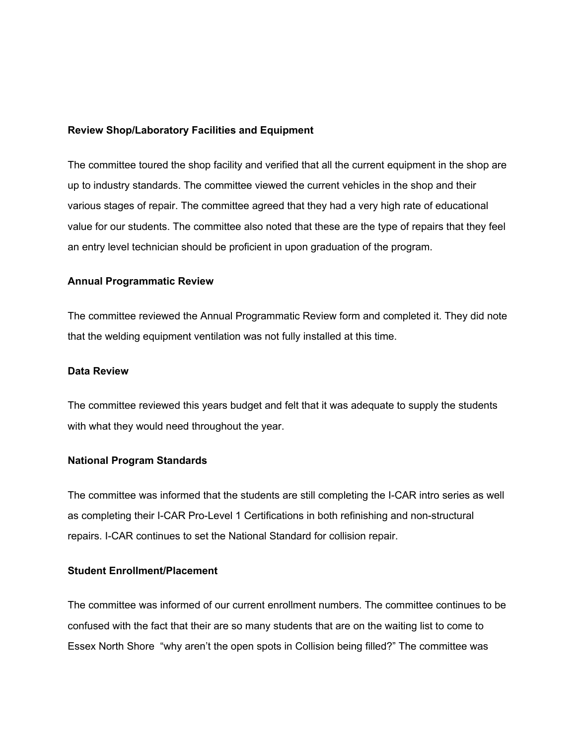#### **Review Shop/Laboratory Facilities and Equipment**

The committee toured the shop facility and verified that all the current equipment in the shop are up to industry standards. The committee viewed the current vehicles in the shop and their various stages of repair. The committee agreed that they had a very high rate of educational value for our students. The committee also noted that these are the type of repairs that they feel an entry level technician should be proficient in upon graduation of the program.

#### **Annual Programmatic Review**

The committee reviewed the Annual Programmatic Review form and completed it. They did note that the welding equipment ventilation was not fully installed at this time.

#### **Data Review**

The committee reviewed this years budget and felt that it was adequate to supply the students with what they would need throughout the year.

### **National Program Standards**

The committee was informed that the students are still completing the I-CAR intro series as well as completing their I-CAR Pro-Level 1 Certifications in both refinishing and non-structural repairs. I-CAR continues to set the National Standard for collision repair.

# **Student Enrollment/Placement**

The committee was informed of our current enrollment numbers. The committee continues to be confused with the fact that their are so many students that are on the waiting list to come to Essex North Shore "why aren't the open spots in Collision being filled?" The committee was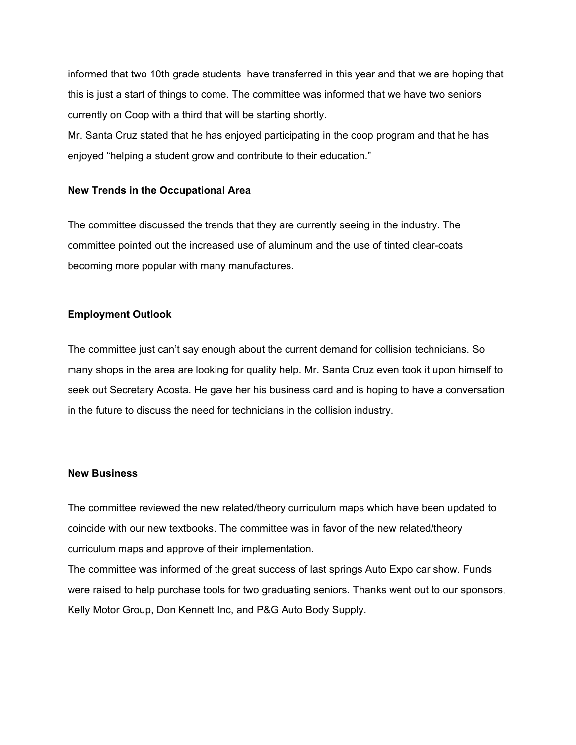informed that two 10th grade students have transferred in this year and that we are hoping that this is just a start of things to come. The committee was informed that we have two seniors currently on Coop with a third that will be starting shortly.

Mr. Santa Cruz stated that he has enjoyed participating in the coop program and that he has enjoyed "helping a student grow and contribute to their education."

### **New Trends in the Occupational Area**

The committee discussed the trends that they are currently seeing in the industry. The committee pointed out the increased use of aluminum and the use of tinted clear-coats becoming more popular with many manufactures.

# **Employment Outlook**

The committee just can't say enough about the current demand for collision technicians. So many shops in the area are looking for quality help. Mr. Santa Cruz even took it upon himself to seek out Secretary Acosta. He gave her his business card and is hoping to have a conversation in the future to discuss the need for technicians in the collision industry.

### **New Business**

The committee reviewed the new related/theory curriculum maps which have been updated to coincide with our new textbooks. The committee was in favor of the new related/theory curriculum maps and approve of their implementation.

The committee was informed of the great success of last springs Auto Expo car show. Funds were raised to help purchase tools for two graduating seniors. Thanks went out to our sponsors, Kelly Motor Group, Don Kennett Inc, and P&G Auto Body Supply.